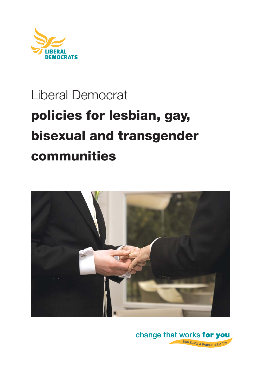

# Liberal Democrat **policies for lesbian, gay, bisexual and transgender communities**



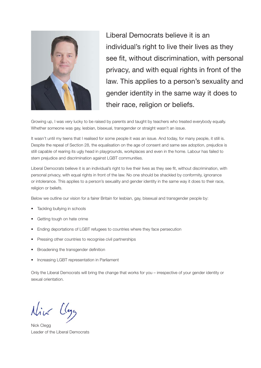

Liberal Democrats believe it is an individual's right to live their lives as they see fit, without discrimination, with personal privacy, and with equal rights in front of the law. This applies to a person's sexuality and gender identity in the same way it does to their race, religion or beliefs.

Growing up, I was very lucky to be raised by parents and taught by teachers who treated everybody equally. Whether someone was gay, lesbian, bisexual, transgender or straight wasn't an issue.

It wasn't until my teens that I realised for some people it was an issue. And today, for many people, it still is. Despite the repeal of Section 28, the equalisation on the age of consent and same sex adoption, prejudice is still capable of rearing its ugly head in playgrounds, workplaces and even in the home. Labour has failed to stem prejudice and discrimination against LGBT communities.

Liberal Democrats believe it is an individual's right to live their lives as they see fit, without discrimination, with personal privacy, with equal rights in front of the law. No one should be shackled by conformity, ignorance or intolerance. This applies to a person's sexuality and gender identity in the same way it does to their race, religion or beliefs.

Below we outline our vision for a fairer Britain for lesbian, gay, bisexual and transgender people by:

- Tackling bullying in schools
- Getting tough on hate crime
- Ending deportations of LGBT refugees to countries where they face persecution
- Pressing other countries to recognise civil partnerships
- Broadening the transgender definition
- Increasing LGBT representation in Parliament

Only the Liberal Democrats will bring the change that works for you – irrespective of your gender identity or sexual orientation.

Nick Llega

Nick Clegg Leader of the Liberal Democrats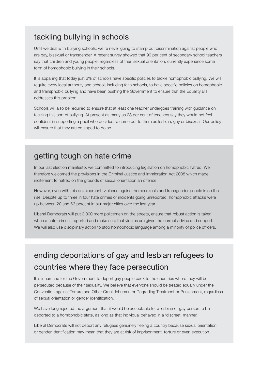## tackling bullying in schools

Until we deal with bullying schools, we're never going to stamp out discrimination against people who are gay, bisexual or transgender. A recent survey showed that 90 per cent of secondary school teachers say that children and young people, regardless of their sexual orientation, currently experience some form of homophobic bullying in their schools.

It is appalling that today just 6% of schools have specific policies to tackle homophobic bullying. We will require every local authority and school, including faith schools, to have specific policies on homophobic and transphobic bullying and have been pushing the Government to ensure that the Equality Bill addresses this problem.

Schools will also be required to ensure that at least one teacher undergoes training with guidance on tackling this sort of bullying. At present as many as 28 per cent of teachers say they would not feel confident in supporting a pupil who decided to come out to them as lesbian, gay or bisexual. Our policy will ensure that they are equipped to do so.

## getting tough on hate crime

In our last election manifesto, we committed to introducing legislation on homophobic hatred. We therefore welcomed the provisions in the Criminal Justice and Immigration Act 2008 which made incitement to hatred on the grounds of sexual orientation an offence.

However, even with this development, violence against homosexuals and transgender people is on the rise. Despite up to three in four hate crimes or incidents going unreported, homophobic attacks were up between 20 and 63 percent in our major cities over the last year.

Liberal Democrats will put 3,000 more policemen on the streets, ensure that robust action is taken when a hate crime is reported and make sure that victims are given the correct advice and support. We will also use disciplinary action to stop homophobic language among a minority of police officers.

## ending deportations of gay and lesbian refugees to countries where they face persecution

It is inhumane for the Government to deport gay people back to the countries where they will be persecuted because of their sexuality. We believe that everyone should be treated equally under the Convention against Torture and Other Cruel, Inhuman or Degrading Treatment or Punishment, regardless of sexual orientation or gender identification.

We have long rejected the argument that it would be acceptable for a lesbian or gay person to be deported to a homophobic state, as long as that individual behaved in a 'discreet' manner.

Liberal Democrats will not deport any refugees genuinely fleeing a country because sexual orientation or gender identification may mean that they are at risk of imprisonment, torture or even execution.